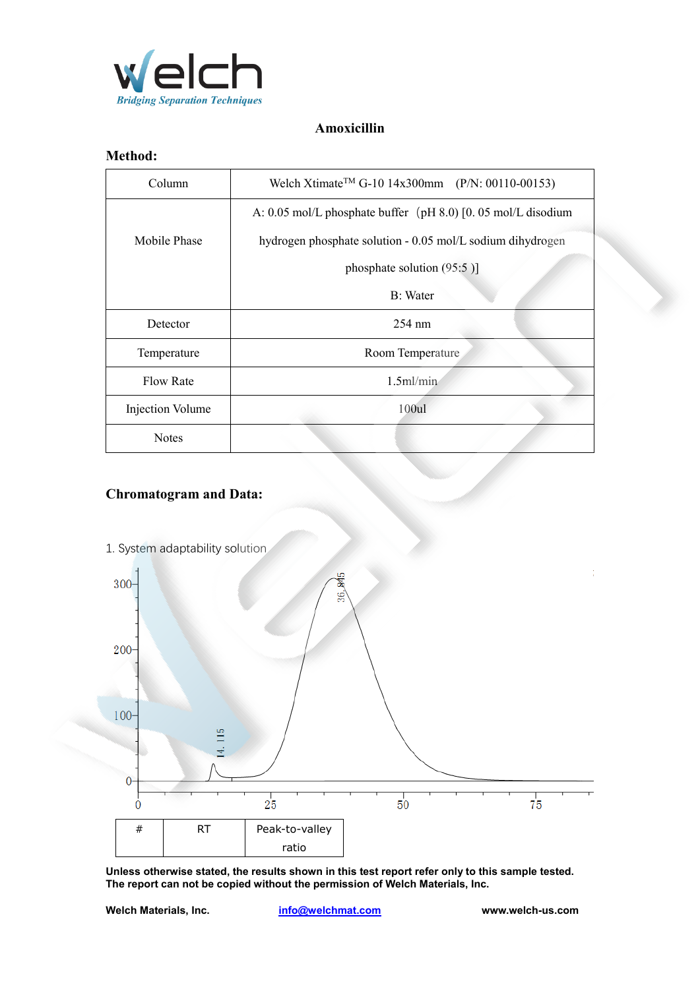

## **Amoxicillin**

## **Method:**

| Column           | Welch Xtimate <sup>TM</sup> G-10 14x300mm (P/N: 00110-00153) |  |  |
|------------------|--------------------------------------------------------------|--|--|
|                  | A: 0.05 mol/L phosphate buffer (pH 8.0) [0.05 mol/L disodium |  |  |
| Mobile Phase     | hydrogen phosphate solution - 0.05 mol/L sodium dihydrogen   |  |  |
|                  | phosphate solution (95:5)]                                   |  |  |
|                  | B: Water                                                     |  |  |
| Detector         | $254 \text{ nm}$                                             |  |  |
| Temperature      | Room Temperature                                             |  |  |
| <b>Flow Rate</b> | $1.5$ ml/min                                                 |  |  |
| Injection Volume | $100$ ul                                                     |  |  |
| <b>Notes</b>     |                                                              |  |  |

## **Chromatogram and Data:**

1. System adaptability solution



**Unless otherwise stated, the results shown in this test report refer only to this sample tested. The report can not be copied without the permission of Welch Materials, Inc.**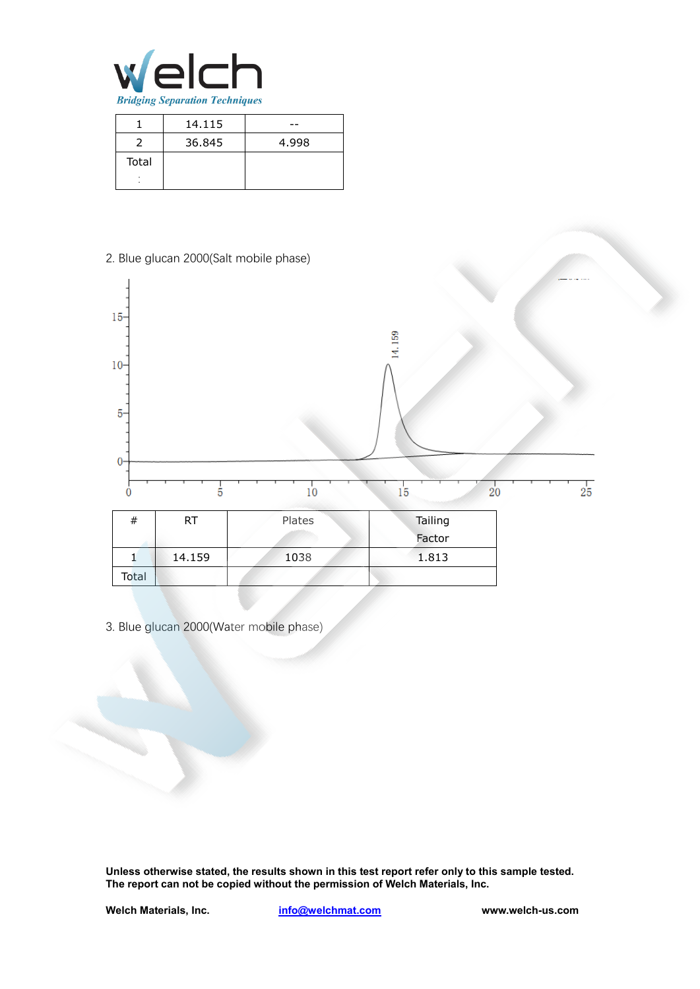

| $\sim$ $\sim$<br>__ |  |        |       |  |
|---------------------|--|--------|-------|--|
|                     |  | 14.115 |       |  |
|                     |  | 36.845 | 4.998 |  |
| Total               |  |        |       |  |
|                     |  |        |       |  |

- 2. Blue glucan 2000(Salt mobile phase)  $15<sup>°</sup>$ 14.159 10 5  $\overline{0}$  $2<sub>5</sub>$ 5  $10$  $15$ 20  $\dot{0}$ # RT Plates Tailing Factor 1 14.159 1038 1.813 **Total**
- 

3. Blue glucan 2000(Water mobile phase)

**Unless otherwise stated, the results shown in this test report refer only to this sample tested. The report can not be copied without the permission of Welch Materials, Inc.**

**Welch Materials, Inc. [info@welchmat.com](mailto:info@welchmat.com) www.welch-us.com**